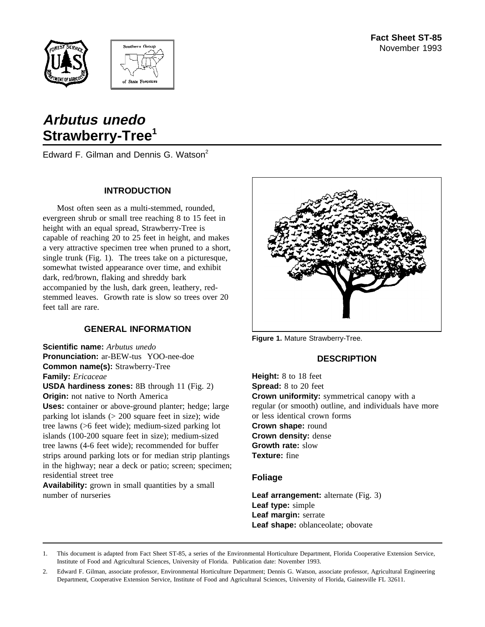



# **Arbutus unedo Strawberry-Tree<sup>1</sup>**

Edward F. Gilman and Dennis G. Watson<sup>2</sup>

#### **INTRODUCTION**

Most often seen as a multi-stemmed, rounded, evergreen shrub or small tree reaching 8 to 15 feet in height with an equal spread, Strawberry-Tree is capable of reaching 20 to 25 feet in height, and makes a very attractive specimen tree when pruned to a short, single trunk (Fig. 1). The trees take on a picturesque, somewhat twisted appearance over time, and exhibit dark, red/brown, flaking and shreddy bark accompanied by the lush, dark green, leathery, redstemmed leaves. Growth rate is slow so trees over 20 feet tall are rare.

## **GENERAL INFORMATION**

**Scientific name:** *Arbutus unedo* **Pronunciation:** ar-BEW-tus YOO-nee-doe **Common name(s):** Strawberry-Tree **Family:** *Ericaceae*

**USDA hardiness zones:** 8B through 11 (Fig. 2) **Origin:** not native to North America

**Uses:** container or above-ground planter; hedge; large parking lot islands (> 200 square feet in size); wide tree lawns (>6 feet wide); medium-sized parking lot islands (100-200 square feet in size); medium-sized tree lawns (4-6 feet wide); recommended for buffer strips around parking lots or for median strip plantings in the highway; near a deck or patio; screen; specimen; residential street tree

**Availability:** grown in small quantities by a small number of nurseries



**Figure 1.** Mature Strawberry-Tree.

## **DESCRIPTION**

**Height:** 8 to 18 feet **Spread:** 8 to 20 feet **Crown uniformity:** symmetrical canopy with a regular (or smooth) outline, and individuals have more or less identical crown forms **Crown shape:** round **Crown density:** dense **Growth rate:** slow **Texture:** fine

#### **Foliage**

**Leaf arrangement:** alternate (Fig. 3) **Leaf type:** simple **Leaf margin:** serrate **Leaf shape:** oblanceolate; obovate

1. This document is adapted from Fact Sheet ST-85, a series of the Environmental Horticulture Department, Florida Cooperative Extension Service, Institute of Food and Agricultural Sciences, University of Florida. Publication date: November 1993.

2. Edward F. Gilman, associate professor, Environmental Horticulture Department; Dennis G. Watson, associate professor, Agricultural Engineering Department, Cooperative Extension Service, Institute of Food and Agricultural Sciences, University of Florida, Gainesville FL 32611.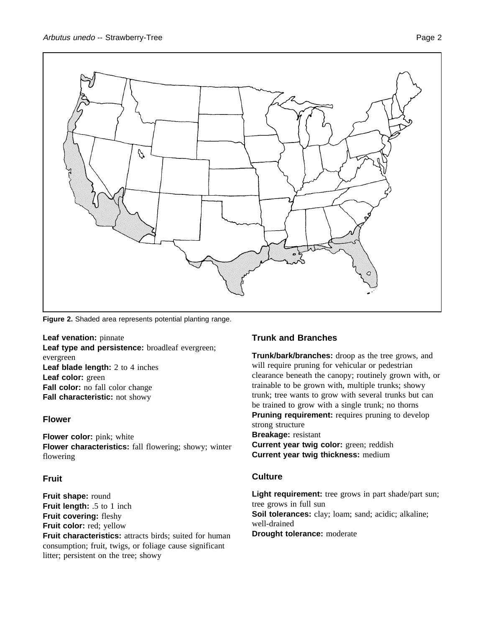

**Figure 2.** Shaded area represents potential planting range.

**Leaf venation:** pinnate **Leaf type and persistence:** broadleaf evergreen; evergreen **Leaf blade length:** 2 to 4 inches **Leaf color:** green **Fall color:** no fall color change **Fall characteristic:** not showy

## **Flower**

**Flower color:** pink; white **Flower characteristics:** fall flowering; showy; winter flowering

## **Fruit**

**Fruit shape:** round **Fruit length:** .5 to 1 inch **Fruit covering:** fleshy **Fruit color:** red; yellow **Fruit characteristics:** attracts birds; suited for human consumption; fruit, twigs, or foliage cause significant litter; persistent on the tree; showy

## **Trunk and Branches**

**Trunk/bark/branches:** droop as the tree grows, and will require pruning for vehicular or pedestrian clearance beneath the canopy; routinely grown with, or trainable to be grown with, multiple trunks; showy trunk; tree wants to grow with several trunks but can be trained to grow with a single trunk; no thorns **Pruning requirement:** requires pruning to develop strong structure **Breakage:** resistant **Current year twig color:** green; reddish **Current year twig thickness:** medium

## **Culture**

Light requirement: tree grows in part shade/part sun; tree grows in full sun **Soil tolerances:** clay; loam; sand; acidic; alkaline; well-drained **Drought tolerance:** moderate